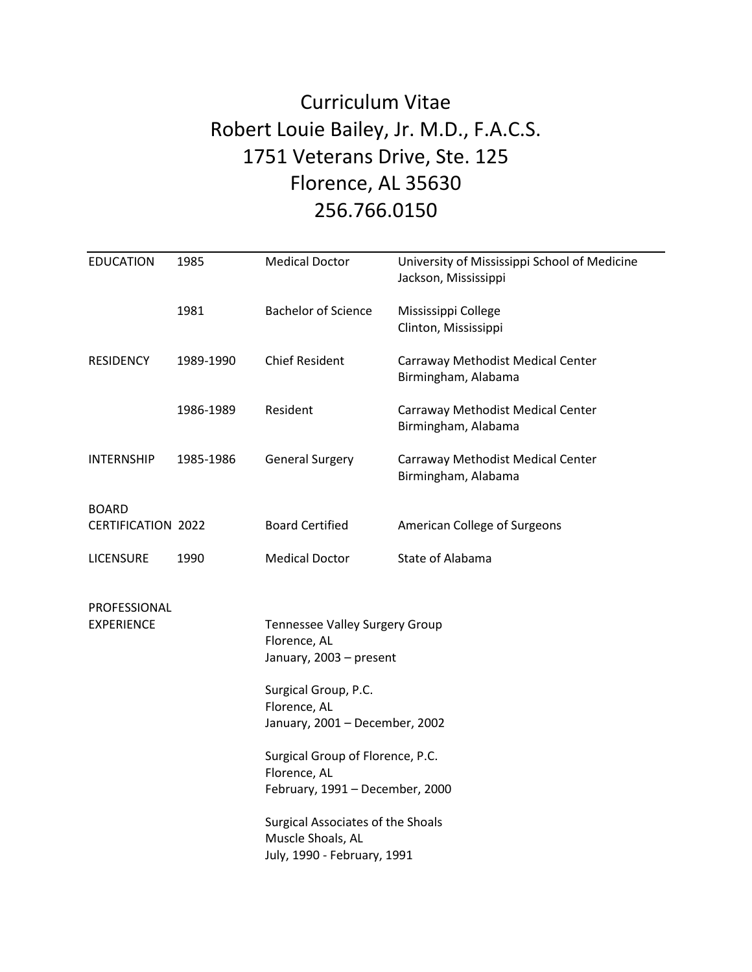## Curriculum Vitae Robert Louie Bailey, Jr. M.D., F.A.C.S. 1751 Veterans Drive, Ste. 125 Florence, AL 35630 256.766.0150

| <b>EDUCATION</b>                          | 1985      | <b>Medical Doctor</b>                                                                                                                               | University of Mississippi School of Medicine<br>Jackson, Mississippi |
|-------------------------------------------|-----------|-----------------------------------------------------------------------------------------------------------------------------------------------------|----------------------------------------------------------------------|
|                                           | 1981      | <b>Bachelor of Science</b>                                                                                                                          | Mississippi College<br>Clinton, Mississippi                          |
| <b>RESIDENCY</b>                          | 1989-1990 | <b>Chief Resident</b>                                                                                                                               | Carraway Methodist Medical Center<br>Birmingham, Alabama             |
|                                           | 1986-1989 | Resident                                                                                                                                            | Carraway Methodist Medical Center<br>Birmingham, Alabama             |
| <b>INTERNSHIP</b>                         | 1985-1986 | <b>General Surgery</b>                                                                                                                              | Carraway Methodist Medical Center<br>Birmingham, Alabama             |
| <b>BOARD</b><br><b>CERTIFICATION 2022</b> |           | <b>Board Certified</b>                                                                                                                              | American College of Surgeons                                         |
| <b>LICENSURE</b>                          | 1990      | <b>Medical Doctor</b>                                                                                                                               | State of Alabama                                                     |
| PROFESSIONAL<br><b>EXPERIENCE</b>         |           | Tennessee Valley Surgery Group<br>Florence, AL<br>January, 2003 - present<br>Surgical Group, P.C.<br>Florence, AL<br>January, 2001 - December, 2002 |                                                                      |
|                                           |           | Surgical Group of Florence, P.C.<br>Florence, AL<br>February, 1991 - December, 2000                                                                 |                                                                      |
|                                           |           | Surgical Associates of the Shoals<br>Muscle Shoals, AL<br>July, 1990 - February, 1991                                                               |                                                                      |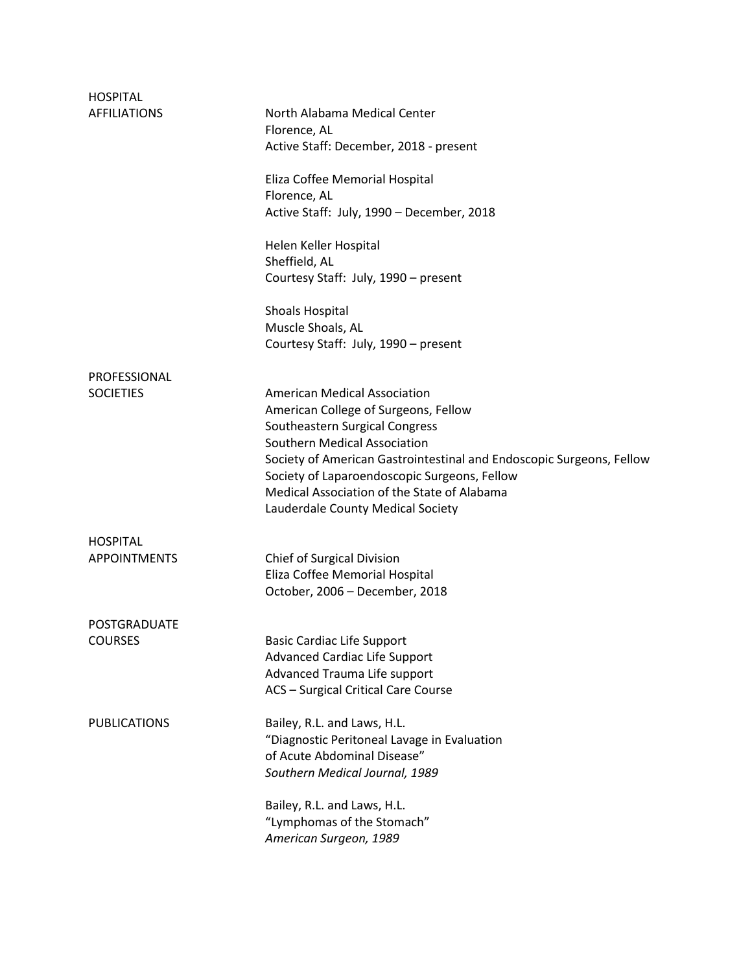| <b>HOSPITAL</b>     |                                                                      |
|---------------------|----------------------------------------------------------------------|
| <b>AFFILIATIONS</b> | North Alabama Medical Center<br>Florence, AL                         |
|                     | Active Staff: December, 2018 - present                               |
|                     | Eliza Coffee Memorial Hospital                                       |
|                     | Florence, AL                                                         |
|                     | Active Staff: July, 1990 - December, 2018                            |
|                     | Helen Keller Hospital                                                |
|                     | Sheffield, AL                                                        |
|                     | Courtesy Staff: July, 1990 - present                                 |
|                     | <b>Shoals Hospital</b>                                               |
|                     | Muscle Shoals, AL                                                    |
|                     | Courtesy Staff: July, 1990 - present                                 |
| PROFESSIONAL        |                                                                      |
| <b>SOCIETIES</b>    | <b>American Medical Association</b>                                  |
|                     | American College of Surgeons, Fellow                                 |
|                     | Southeastern Surgical Congress                                       |
|                     | Southern Medical Association                                         |
|                     | Society of American Gastrointestinal and Endoscopic Surgeons, Fellow |
|                     | Society of Laparoendoscopic Surgeons, Fellow                         |
|                     | Medical Association of the State of Alabama                          |
|                     | Lauderdale County Medical Society                                    |
| <b>HOSPITAL</b>     |                                                                      |
| <b>APPOINTMENTS</b> | Chief of Surgical Division                                           |
|                     | Eliza Coffee Memorial Hospital                                       |
|                     | October, 2006 - December, 2018                                       |
| POSTGRADUATE        |                                                                      |
| <b>COURSES</b>      | <b>Basic Cardiac Life Support</b>                                    |
|                     | <b>Advanced Cardiac Life Support</b>                                 |
|                     | Advanced Trauma Life support                                         |
|                     | <b>ACS</b> - Surgical Critical Care Course                           |
| <b>PUBLICATIONS</b> | Bailey, R.L. and Laws, H.L.                                          |
|                     | "Diagnostic Peritoneal Lavage in Evaluation                          |
|                     | of Acute Abdominal Disease"                                          |
|                     | Southern Medical Journal, 1989                                       |
|                     | Bailey, R.L. and Laws, H.L.                                          |
|                     | "Lymphomas of the Stomach"                                           |
|                     | American Surgeon, 1989                                               |
|                     |                                                                      |